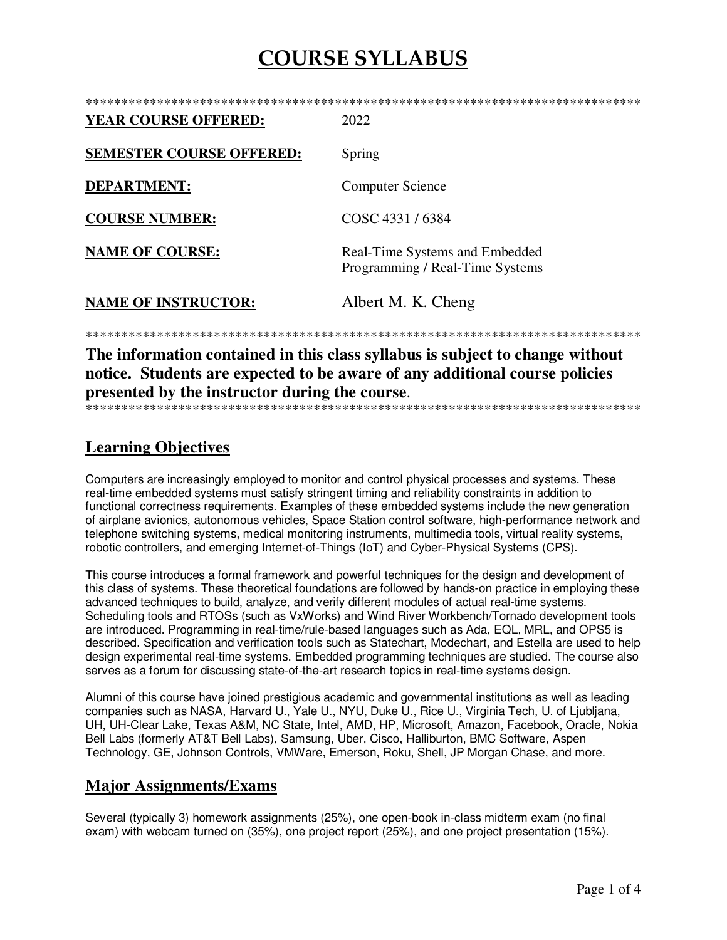| <b>YEAR COURSE OFFERED:</b>     | 2022                                                              |
|---------------------------------|-------------------------------------------------------------------|
| <b>SEMESTER COURSE OFFERED:</b> | Spring                                                            |
| <b>DEPARTMENT:</b>              | <b>Computer Science</b>                                           |
| <b>COURSE NUMBER:</b>           | COSC 4331/6384                                                    |
| <b>NAME OF COURSE:</b>          | Real-Time Systems and Embedded<br>Programming / Real-Time Systems |
| <b>NAME OF INSTRUCTOR:</b>      | Albert M. K. Cheng                                                |
|                                 |                                                                   |

The information contained in this class syllabus is subject to change without notice. Students are expected to be aware of any additional course policies presented by the instructor during the course. 

### **Learning Objectives**

Computers are increasingly employed to monitor and control physical processes and systems. These real-time embedded systems must satisfy stringent timing and reliability constraints in addition to functional correctness requirements. Examples of these embedded systems include the new generation of airplane avionics, autonomous vehicles, Space Station control software, high-performance network and telephone switching systems, medical monitoring instruments, multimedia tools, virtual reality systems, robotic controllers, and emerging Internet-of-Things (IoT) and Cyber-Physical Systems (CPS).

This course introduces a formal framework and powerful techniques for the design and development of this class of systems. These theoretical foundations are followed by hands-on practice in employing these advanced techniques to build, analyze, and verify different modules of actual real-time systems. Scheduling tools and RTOSs (such as VxWorks) and Wind River Workbench/Tornado development tools are introduced. Programming in real-time/rule-based languages such as Ada. EQL, MRL, and OPS5 is described. Specification and verification tools such as Statechart, Modechart, and Estella are used to help design experimental real-time systems. Embedded programming techniques are studied. The course also serves as a forum for discussing state-of-the-art research topics in real-time systems design.

Alumni of this course have joined prestigious academic and governmental institutions as well as leading companies such as NASA, Harvard U., Yale U., NYU, Duke U., Rice U., Virginia Tech, U. of Ljubljana, UH, UH-Clear Lake, Texas A&M, NC State, Intel, AMD, HP, Microsoft, Amazon, Facebook, Oracle, Nokia Bell Labs (formerly AT&T Bell Labs), Samsung, Uber, Cisco, Halliburton, BMC Software, Aspen Technology, GE, Johnson Controls, VMWare, Emerson, Roku, Shell, JP Morgan Chase, and more.

### **Major Assignments/Exams**

Several (typically 3) homework assignments (25%), one open-book in-class midterm exam (no final exam) with webcam turned on (35%), one project report (25%), and one project presentation (15%).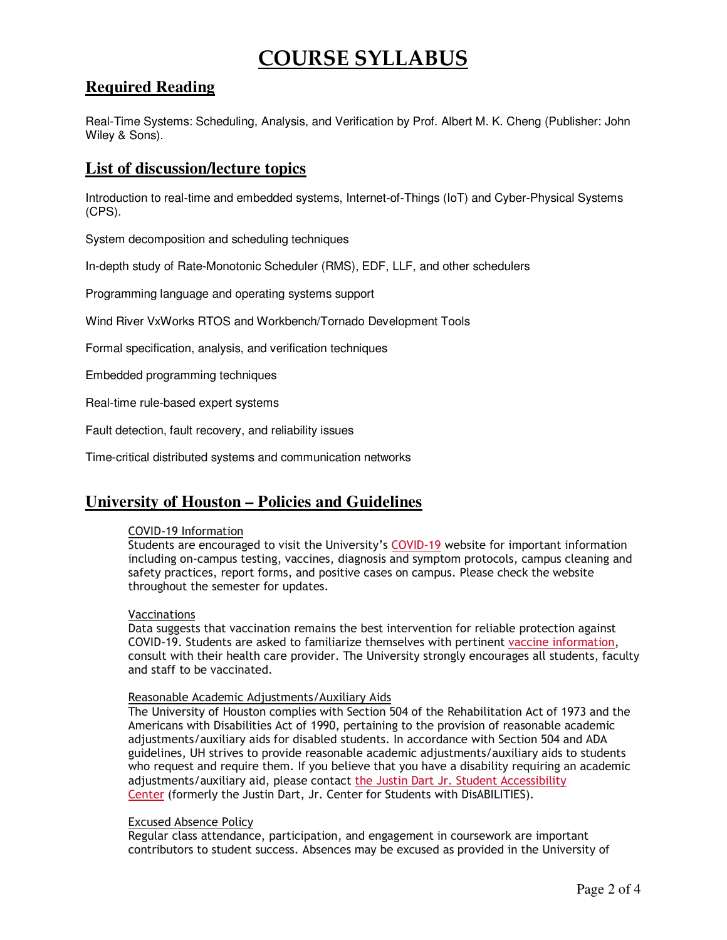## **Required Reading**

Real-Time Systems: Scheduling, Analysis, and Verification by Prof. Albert M. K. Cheng (Publisher: John Wiley & Sons).

### **List of discussion/lecture topics**

Introduction to real-time and embedded systems, Internet-of-Things (IoT) and Cyber-Physical Systems (CPS).

System decomposition and scheduling techniques

In-depth study of Rate-Monotonic Scheduler (RMS), EDF, LLF, and other schedulers

Programming language and operating systems support

Wind River VxWorks RTOS and Workbench/Tornado Development Tools

Formal specification, analysis, and verification techniques

Embedded programming techniques

Real-time rule-based expert systems

Fault detection, fault recovery, and reliability issues

Time-critical distributed systems and communication networks

### **University of Houston – Policies and Guidelines**

#### COVID-19 Information

Students are encouraged to visit the University's COVID-19 website for important information including on-campus testing, vaccines, diagnosis and symptom protocols, campus cleaning and safety practices, report forms, and positive cases on campus. Please check the website throughout the semester for updates.

#### Vaccinations

Data suggests that vaccination remains the best intervention for reliable protection against COVID-19. Students are asked to familiarize themselves with pertinent vaccine information, consult with their health care provider. The University strongly encourages all students, faculty and staff to be vaccinated.

#### Reasonable Academic Adjustments/Auxiliary Aids

The University of Houston complies with Section 504 of the Rehabilitation Act of 1973 and the Americans with Disabilities Act of 1990, pertaining to the provision of reasonable academic adjustments/auxiliary aids for disabled students. In accordance with Section 504 and ADA guidelines, UH strives to provide reasonable academic adjustments/auxiliary aids to students who request and require them. If you believe that you have a disability requiring an academic adjustments/auxiliary aid, please contact the Justin Dart Jr. Student Accessibility Center (formerly the Justin Dart, Jr. Center for Students with DisABILITIES).

#### Excused Absence Policy

Regular class attendance, participation, and engagement in coursework are important contributors to student success. Absences may be excused as provided in the University of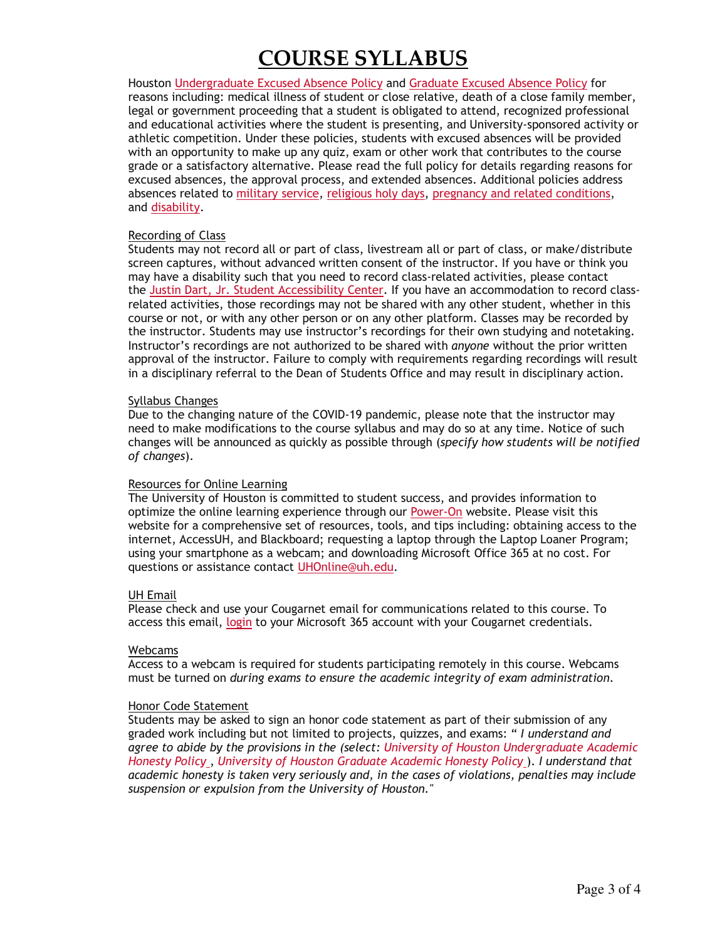Houston Undergraduate Excused Absence Policy and Graduate Excused Absence Policy for reasons including: medical illness of student or close relative, death of a close family member, legal or government proceeding that a student is obligated to attend, recognized professional and educational activities where the student is presenting, and University-sponsored activity or athletic competition. Under these policies, students with excused absences will be provided with an opportunity to make up any quiz, exam or other work that contributes to the course grade or a satisfactory alternative. Please read the full policy for details regarding reasons for excused absences, the approval process, and extended absences. Additional policies address absences related to military service, religious holy days, pregnancy and related conditions, and disability.

#### Recording of Class

Students may not record all or part of class, livestream all or part of class, or make/distribute screen captures, without advanced written consent of the instructor. If you have or think you may have a disability such that you need to record class-related activities, please contact the Justin Dart, Jr. Student Accessibility Center. If you have an accommodation to record classrelated activities, those recordings may not be shared with any other student, whether in this course or not, or with any other person or on any other platform. Classes may be recorded by the instructor. Students may use instructor's recordings for their own studying and notetaking. Instructor's recordings are not authorized to be shared with *anyone* without the prior written approval of the instructor. Failure to comply with requirements regarding recordings will result in a disciplinary referral to the Dean of Students Office and may result in disciplinary action.

#### Syllabus Changes

Due to the changing nature of the COVID-19 pandemic, please note that the instructor may need to make modifications to the course syllabus and may do so at any time. Notice of such changes will be announced as quickly as possible through (*specify how students will be notified of changes*).

#### Resources for Online Learning

The University of Houston is committed to student success, and provides information to optimize the online learning experience through our Power-On website. Please visit this website for a comprehensive set of resources, tools, and tips including: obtaining access to the internet, AccessUH, and Blackboard; requesting a laptop through the Laptop Loaner Program; using your smartphone as a webcam; and downloading Microsoft Office 365 at no cost. For questions or assistance contact UHOnline@uh.edu.

#### UH Email

Please check and use your Cougarnet email for communications related to this course. To access this email, login to your Microsoft 365 account with your Cougarnet credentials.

#### Webcams

Access to a webcam is required for students participating remotely in this course. Webcams must be turned on *during exams to ensure the academic integrity of exam administration*.

#### Honor Code Statement

Students may be asked to sign an honor code statement as part of their submission of any graded work including but not limited to projects, quizzes, and exams: " *I understand and agree to abide by the provisions in the (select: University of Houston Undergraduate Academic Honesty Policy* , *University of Houston Graduate Academic Honesty Policy* ). *I understand that academic honesty is taken very seriously and, in the cases of violations, penalties may include suspension or expulsion from the University of Houston."*